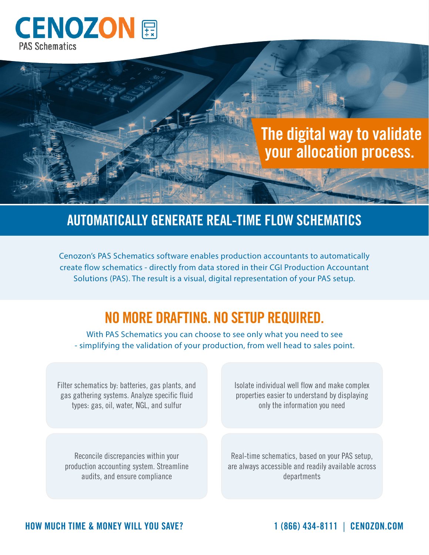

# **The digital way to validate your allocation process.**

#### **AUTOMATICALLY GENERATE REAL-TIME FLOW SCHEMATICS**

Cenozon's PAS Schematics software enables production accountants to automatically create flow schematics - directly from data stored in their CGI Production Accountant Solutions (PAS). The result is a visual, digital representation of your PAS setup.

### **NO MORE DRAFTING. NO SETUP REQUIRED.**

With PAS Schematics you can choose to see only what you need to see - simplifying the validation of your production, from well head to sales point.

Filter schematics by: batteries, gas plants, and gas gathering systems. Analyze specific fluid types: gas, oil, water, NGL, and sulfur

Isolate individual well flow and make complex properties easier to understand by displaying only the information you need

Reconcile discrepancies within your production accounting system. Streamline audits, and ensure compliance

Real-time schematics, based on your PAS setup, are always accessible and readily available across departments